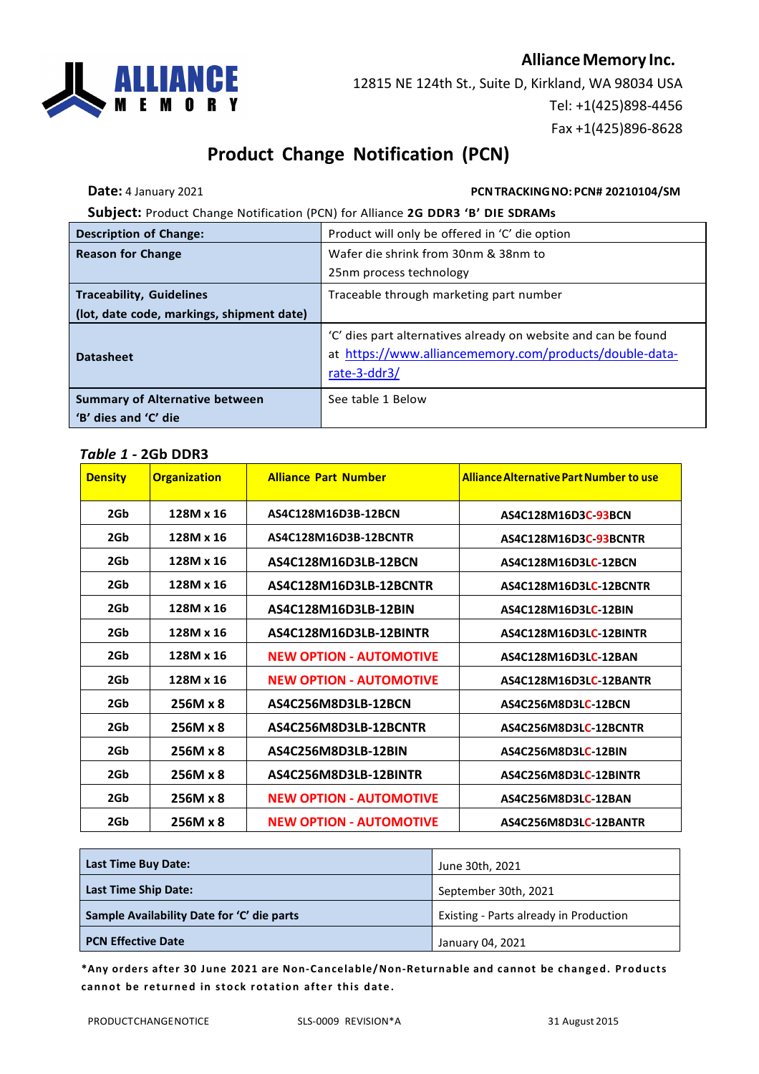

12815 NE 124th St., Suite D, Kirkland, WA 98034 USA Tel: +1(425)898-4456 Fax +1(425)896-8628

# **Product Change Notification (PCN)**

#### **Date:** 4 January 2021 **PCN TRACKING NO: PCN# 20210104/SM**

**Subject:** Product Change Notification (PCN) for Alliance **2G DDR3 'B' DIE SDRAMs**

| <b>Description of Change:</b>                                 | Product will only be offered in 'C' die option                                                                                            |  |
|---------------------------------------------------------------|-------------------------------------------------------------------------------------------------------------------------------------------|--|
| <b>Reason for Change</b>                                      | Wafer die shrink from 30nm & 38nm to                                                                                                      |  |
|                                                               | 25nm process technology                                                                                                                   |  |
| <b>Traceability, Guidelines</b>                               | Traceable through marketing part number                                                                                                   |  |
| (lot, date code, markings, shipment date)                     |                                                                                                                                           |  |
| <b>Datasheet</b>                                              | 'C' dies part alternatives already on website and can be found<br>at https://www.alliancememory.com/products/double-data-<br>rate-3-ddr3/ |  |
| <b>Summary of Alternative between</b><br>'B' dies and 'C' die | See table 1 Below                                                                                                                         |  |

#### *Table 1 -* **2Gb DDR3**

| <b>Density</b> | <b>Organization</b> | <b>Alliance Part Number</b>    | <b>Alliance Alternative Part Number to use</b> |
|----------------|---------------------|--------------------------------|------------------------------------------------|
| 2Gb            | 128M x 16           | AS4C128M16D3B-12BCN            | AS4C128M16D3C-93BCN                            |
| 2Gb            | 128M x 16           | AS4C128M16D3B-12BCNTR          | AS4C128M16D3C-93BCNTR                          |
| 2Gb            | 128M x 16           | AS4C128M16D3LB-12BCN           | AS4C128M16D3LC-12BCN                           |
| 2Gb            | 128M x 16           | AS4C128M16D3LB-12BCNTR         | AS4C128M16D3LC-12BCNTR                         |
| 2Gb            | 128M x 16           | AS4C128M16D3LB-12BIN           | AS4C128M16D3LC-12BIN                           |
| 2Gb            | 128M x 16           | AS4C128M16D3LB-12BINTR         | AS4C128M16D3LC-12BINTR                         |
| 2Gb            | 128M x 16           | <b>NEW OPTION - AUTOMOTIVE</b> | AS4C128M16D3LC-12BAN                           |
| 2Gb            | 128M x 16           | <b>NEW OPTION - AUTOMOTIVE</b> | AS4C128M16D3LC-12BANTR                         |
| 2Gb            | 256M x 8            | AS4C256M8D3LB-12BCN            | AS4C256M8D3LC-12BCN                            |
| 2Gb            | 256M x 8            | AS4C256M8D3LB-12BCNTR          | AS4C256M8D3LC-12BCNTR                          |
| 2Gb            | 256M x 8            | AS4C256M8D3LB-12BIN            | AS4C256M8D3LC-12BIN                            |
| 2Gb            | 256M x 8            | AS4C256M8D3LB-12BINTR          | AS4C256M8D3LC-12BINTR                          |
| 2Gb            | 256M x 8            | <b>NEW OPTION - AUTOMOTIVE</b> | AS4C256M8D3LC-12BAN                            |
| 2Gb            | 256M x 8            | <b>NEW OPTION - AUTOMOTIVE</b> | AS4C256M8D3LC-12BANTR                          |

| <b>Last Time Buy Date:</b>                 | June 30th, 2021                        |  |
|--------------------------------------------|----------------------------------------|--|
| <b>Last Time Ship Date:</b>                | September 30th, 2021                   |  |
| Sample Availability Date for 'C' die parts | Existing - Parts already in Production |  |
| <b>PCN Effective Date</b>                  | January 04, 2021                       |  |

**\*Any orders after 30 June 2021 are Non-Cancelable/Non-Returnable and cannot be changed. Products cannot be returned in stock rotation after this date.**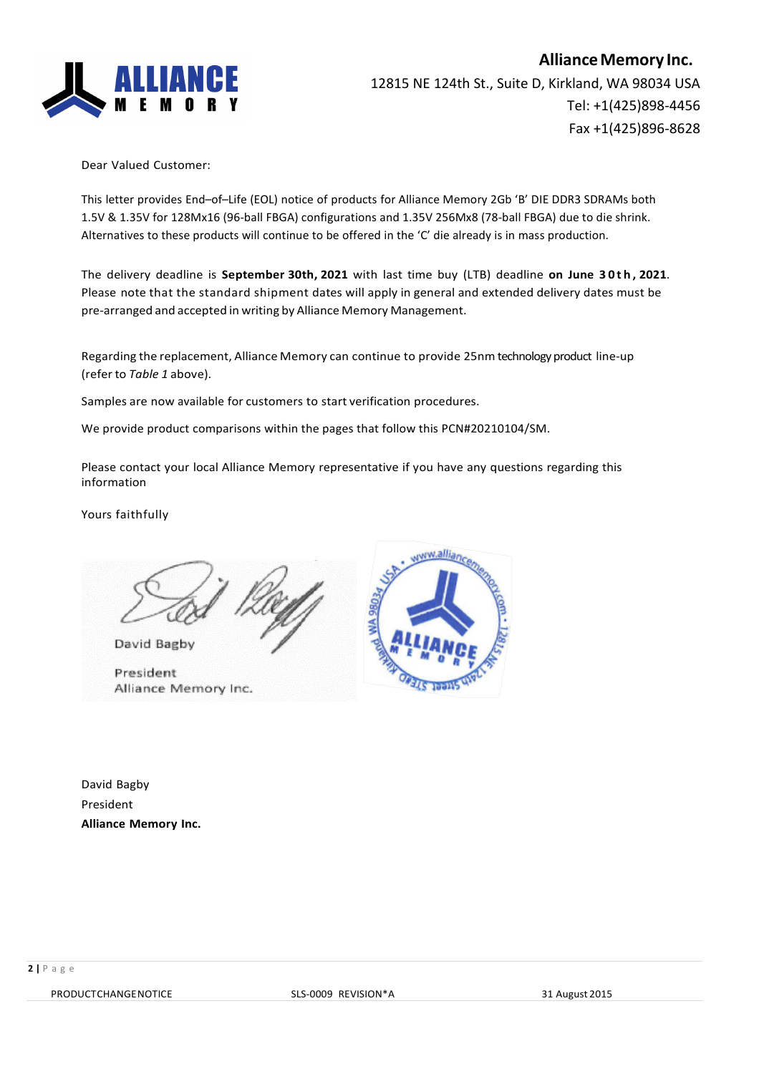

Dear Valued Customer:

This letter provides End–of–Life (EOL) notice of products for Alliance Memory 2Gb 'B' DIE DDR3 SDRAMs both 1.5V & 1.35V for 128Mx16 (96-ball FBGA) configurations and 1.35V 256Mx8 (78-ball FBGA) due to die shrink. Alternatives to these products will continue to be offered in the 'C' die already is in mass production.

The delivery deadline is **September 30th, 2021** with last time buy (LTB) deadline **on June 30th , 2021**. Please note that the standard shipment dates will apply in general and extended delivery dates must be pre-arranged and accepted in writing by Alliance Memory Management.

Regarding the replacement, Alliance Memory can continue to provide 25nm technology product line-up (refer to *Table 1* above).

Samples are now available for customers to start verification procedures.

We provide product comparisons within the pages that follow this PCN#20210104/SM.

Please contact your local Alliance Memory representative if you have any questions regarding this information

Yours faithfully

David Bagby

President Alliance Memory Inc.



David Bagby President **Alliance Memory Inc.**

PRODUCTCHANGENOTICE SLS-0009 REVISION\*A 31 August 2015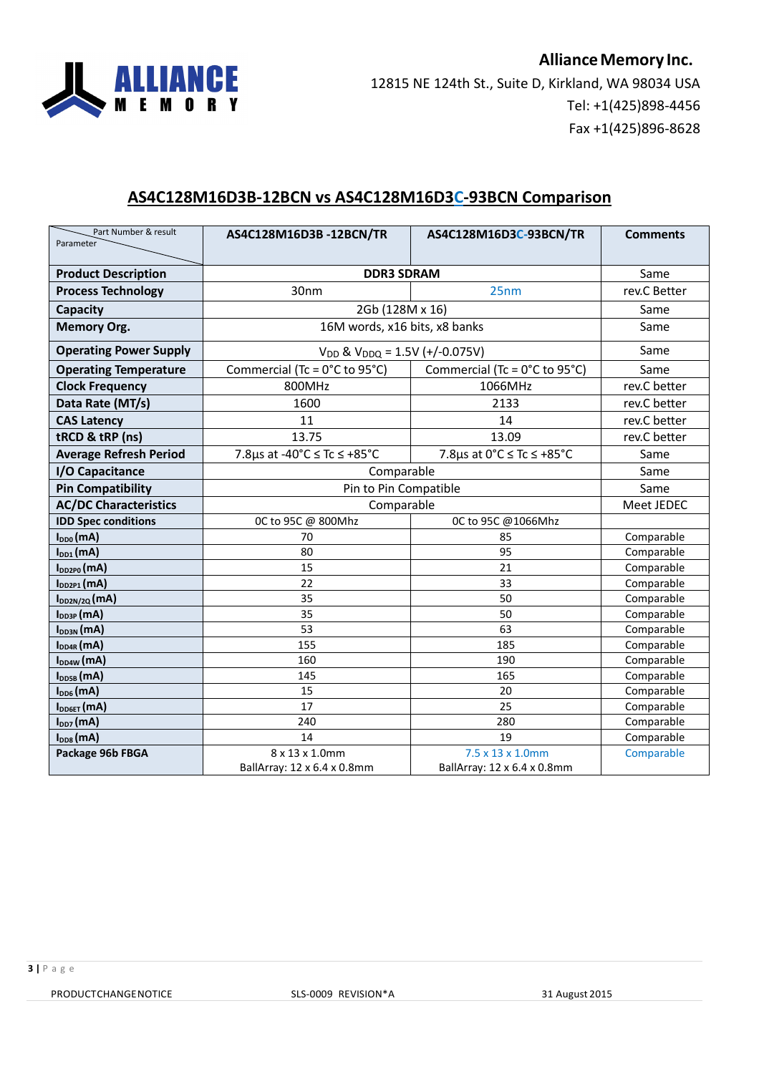

#### **AS4C128M16D3B-12BCN vs AS4C128M16D3C-93BCN Comparison**

| Part Number & result<br>Parameter | AS4C128M16D3B-12BCN/TR                                                                                   | AS4C128M16D3C-93BCN/TR                    | <b>Comments</b> |
|-----------------------------------|----------------------------------------------------------------------------------------------------------|-------------------------------------------|-----------------|
|                                   |                                                                                                          |                                           |                 |
| <b>Product Description</b>        | <b>DDR3 SDRAM</b>                                                                                        | Same                                      |                 |
| <b>Process Technology</b>         | 30nm<br>25nm                                                                                             |                                           | rev.C Better    |
| Capacity                          | 2Gb (128M x 16)                                                                                          |                                           | Same            |
| <b>Memory Org.</b>                |                                                                                                          | 16M words, x16 bits, x8 banks             |                 |
| <b>Operating Power Supply</b>     | $V_{DD}$ & $V_{DDQ}$ = 1.5V (+/-0.075V)                                                                  |                                           | Same            |
| <b>Operating Temperature</b>      | Commercial (Tc = $0^{\circ}$ C to 95 $^{\circ}$ C)<br>Commercial (Tc = $0^{\circ}$ C to 95 $^{\circ}$ C) |                                           | Same            |
| <b>Clock Frequency</b>            | 800MHz                                                                                                   | 1066MHz                                   | rev.C better    |
| Data Rate (MT/s)                  | 1600                                                                                                     | 2133                                      | rev.C better    |
| <b>CAS Latency</b>                | 11                                                                                                       | 14                                        | rev.C better    |
| tRCD & tRP (ns)                   | 13.75                                                                                                    | 13.09                                     | rev.C better    |
| <b>Average Refresh Period</b>     | 7.8µs at -40°C ≤ Tc ≤ +85°C                                                                              | 7.8 $\mu$ s at 0°C $\leq$ Tc $\leq$ +85°C | Same            |
| I/O Capacitance                   | Comparable                                                                                               | Same                                      |                 |
| <b>Pin Compatibility</b>          | Pin to Pin Compatible                                                                                    |                                           | Same            |
| <b>AC/DC Characteristics</b>      | Comparable                                                                                               | Meet JEDEC                                |                 |
| <b>IDD Spec conditions</b>        | 0C to 95C @ 800Mhz<br>0C to 95C @1066Mhz                                                                 |                                           |                 |
| $I_{DD0}(mA)$                     | 70                                                                                                       | 85                                        | Comparable      |
| $I_{DD1}(mA)$                     | 80                                                                                                       | 95                                        | Comparable      |
| $I_{DD2PO}(mA)$                   | 15                                                                                                       | 21                                        | Comparable      |
| $I_{DD2P1}(mA)$                   | 22                                                                                                       | 33                                        | Comparable      |
| I <sub>DD2N/2Q</sub> (MA)         | 35                                                                                                       | 50                                        | Comparable      |
| $I_{DD3P}$ (mA)                   | 35                                                                                                       | 50                                        | Comparable      |
| $I_{DD3N}(mA)$                    | 53                                                                                                       | 63                                        | Comparable      |
| $I_{DD4R}$ (mA)                   | 155                                                                                                      | 185                                       | Comparable      |
| $I_{DD4W}(mA)$                    | 160                                                                                                      | 190                                       | Comparable      |
| $I_{\text{DDSB}}$ (mA)            | 145                                                                                                      | 165                                       | Comparable      |
| $I_{DD6}(mA)$                     | 15                                                                                                       | 20                                        | Comparable      |
| I <sub>DD6ET</sub> (MA)           | 17                                                                                                       | 25                                        | Comparable      |
| $I_{DD7}(mA)$                     | 240                                                                                                      | 280                                       | Comparable      |
| $I_{DD8}(mA)$                     | 14                                                                                                       | 19                                        | Comparable      |
| Package 96b FBGA                  | 8 x 13 x 1.0mm<br>7.5 x 13 x 1.0mm                                                                       |                                           | Comparable      |
|                                   | BallArray: 12 x 6.4 x 0.8mm                                                                              | BallArray: 12 x 6.4 x 0.8mm               |                 |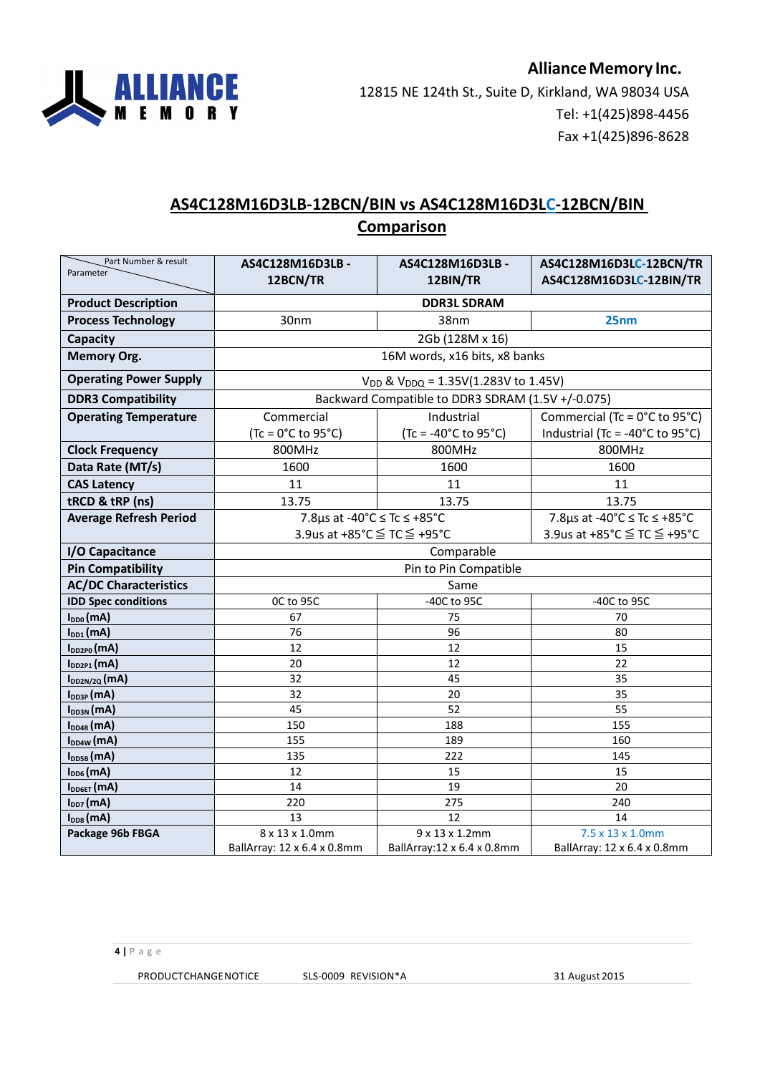

## **AS4C128M16D3LB-12BCN/BIN vs AS4C128M16D3LC-12BCN/BIN Comparison**

| Part Number & result<br>Parameter | AS4C128M16D3LB -<br>12BCN/TR                         | AS4C128M16D3LB -<br>12BIN/TR                      | AS4C128M16D3LC-12BCN/TR<br>AS4C128M16D3LC-12BIN/TR         |
|-----------------------------------|------------------------------------------------------|---------------------------------------------------|------------------------------------------------------------|
| <b>Product Description</b>        | <b>DDR3L SDRAM</b>                                   |                                                   |                                                            |
| <b>Process Technology</b>         | 30nm<br>38nm<br>25nm                                 |                                                   |                                                            |
| Capacity                          |                                                      | 2Gb (128M x 16)                                   |                                                            |
| <b>Memory Org.</b>                |                                                      | 16M words, x16 bits, x8 banks                     |                                                            |
| <b>Operating Power Supply</b>     |                                                      | $V_{DD}$ & $V_{DDQ}$ = 1.35V(1.283V to 1.45V)     |                                                            |
| <b>DDR3 Compatibility</b>         |                                                      | Backward Compatible to DDR3 SDRAM (1.5V +/-0.075) |                                                            |
| <b>Operating Temperature</b>      | Commercial                                           | Industrial                                        | Commercial (Tc = $0^{\circ}$ C to 95 $^{\circ}$ C)         |
|                                   | $(Tc = 0^{\circ}C$ to 95 $^{\circ}C)$                | $(Tc = -40^{\circ}C \text{ to } 95^{\circ}C)$     | Industrial (Tc = -40 $^{\circ}$ C to 95 $^{\circ}$ C)      |
| <b>Clock Frequency</b>            | 800MHz                                               | 800MHz                                            | 800MHz                                                     |
| Data Rate (MT/s)                  | 1600                                                 | 1600                                              | 1600                                                       |
| <b>CAS Latency</b>                | 11                                                   | 11                                                | 11                                                         |
| tRCD & tRP (ns)                   | 13.75                                                | 13.75                                             |                                                            |
| <b>Average Refresh Period</b>     |                                                      | 7.8µs at -40°C ≤ Tc ≤ +85°C                       |                                                            |
|                                   | 3.9us at +85°C ≤ TC ≤ +95°C                          |                                                   | 7.8µs at -40°C ≤ Tc ≤ +85°C<br>3.9us at +85°C ≤ TC ≤ +95°C |
| I/O Capacitance                   | Comparable                                           |                                                   |                                                            |
| <b>Pin Compatibility</b>          |                                                      | Pin to Pin Compatible                             |                                                            |
| <b>AC/DC Characteristics</b>      |                                                      | Same                                              |                                                            |
| <b>IDD Spec conditions</b>        | OC to 95C                                            | -40C to 95C<br>-40C to 95C                        |                                                            |
| $I_{DD0}(mA)$                     | 67                                                   | 75                                                | 70                                                         |
| $I_{DD1}(mA)$                     | 76                                                   | 96                                                | 80                                                         |
| $I_{DD2P0}(mA)$                   | 12                                                   | 12                                                | 15                                                         |
| $I_{DD2P1}(mA)$                   | 20                                                   | 12                                                | 22                                                         |
| $I_{DD2N/2Q}$ (MA)                | 32                                                   | 45                                                | 35                                                         |
| $I_{DD3P}$ (mA)                   | 32                                                   | 20                                                | 35                                                         |
| $I_{DD3N}(mA)$                    | 45                                                   | 52                                                | 55                                                         |
| $I_{DD4R}$ (mA)                   | 150                                                  | 188                                               | 155                                                        |
| $I_{DD4W}(mA)$                    | 155                                                  | 189                                               | 160                                                        |
| $I_{\text{DDSB}}$ (mA)            | 135                                                  | 222                                               | 145                                                        |
| $I_{DD6}(mA)$                     | 12                                                   | 15                                                | 15                                                         |
| I <sub>DD6ET</sub> (mA)           | 14                                                   | 19                                                | 20                                                         |
| $I_{DD7}(mA)$                     | 220                                                  | 275                                               | 240                                                        |
| $I_{DD8}(mA)$                     | 13                                                   | 12                                                | 14                                                         |
| Package 96b FBGA                  | 8 x 13 x 1.0mm<br>9 x 13 x 1.2mm<br>7.5 x 13 x 1.0mm |                                                   |                                                            |
|                                   | BallArray: 12 x 6.4 x 0.8mm                          | BallArray: 12 x 6.4 x 0.8mm                       | BallArray: 12 x 6.4 x 0.8mm                                |

PRODUCTCHANGENOTICE SLS-0009 REVISION\*A 31 August 2015